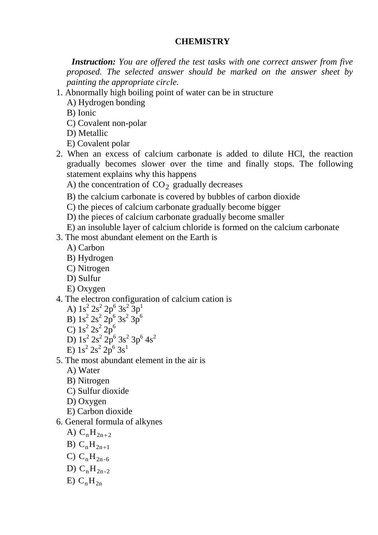# **CHEMISTRY**

 *Instruction: You are offered the test tasks with one correct answer from five proposed. The selected answer should be marked on the answer sheet by painting the appropriate cirсle.*

1. Abnormally high boiling point of water can be in structure

A) Hydrogen bonding

B) Ionic

- C) Covalent non-polar
- D) Metallic
- E) Covalent polar
- 2. When an excess of calcium carbonate is added to dilute HCl, the reaction gradually becomes slower over the time and finally stops. The following statement explains why this happens
	- A) the concentration of  $CO<sub>2</sub>$  gradually decreases
	- B) the calcium carbonate is covered by bubbles of carbon dioxide
	- C) the pieces of calcium carbonate gradually become bigger
	- D) the pieces of calcium carbonate gradually become smaller
	- E) an insoluble layer of calcium chloride is formed on the calcium carbonate
- 3. The most abundant element on the Earth is
	- A) Carbon
	- B) Hydrogen
	- C) Nitrogen
	- D) Sulfur
	- E) Oxygen

# 4. The electron configuration of calcium cation is

- A)  $1s^2 2s^2 2p^6 3s^2 3p^1$
- B)  $1s^2 2s^2 2p^6 3s^2 3p^6$
- C)  $1s^2 2s^2 2p^6$
- D)  $1s^2 2s^2 2p^6 3s^2 3p^6 4s^2$
- E)  $1s^2 2s^2 2p^6 3s^1$
- 5. The most abundant element in the air is
	- A) Water
	- B) Nitrogen
	- C) Sulfur dioxide
	- D) Oxygen
	- E) Carbon dioxide
- 6. General formula of alkynes
	- A)  $C_nH_{2n+2}$
	- B)  $C_nH_{2n+1}$
	- C)  $C_nH_{2n-6}$
	- D)  $C_nH_{2n-2}$
	- $E) C_nH_{2n}$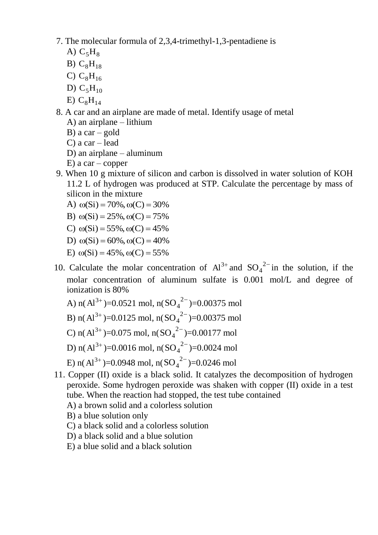- 7. The molecular formula of 2,3,4-trimethyl-1,3-pentadiene is
	- A)  $C_5H_8$
	- B)  $C_8H_{18}$
	- C)  $C_8H_{16}$
	- D)  $C_5H_{10}$
	- $E) C_8H_{14}$
- 8. A car and an airplane are made of metal. Identify usage of metal
	- A) an airplane lithium
	- B) a  $car gold$
	- C) a car lead
	- D) an airplane aluminum
	- $E$ ) a car copper
- 9. When 10 g mixture of silicon and carbon is dissolved in water solution of KOH 11.2 L of hydrogen was produced at STP. Calculate the percentage by mass of silicon in the mixture
	- A)  $\omega(Si) = 70\%, \omega(C) = 30\%$
	- B)  $\omega(Si) = 25\%, \omega(C) = 75\%$
	- C)  $\omega(Si) = 55\%, \omega(C) = 45\%$
	- D)  $\omega(Si) = 60\%, \omega(C) = 40\%$
	- E)  $\omega(Si) = 45\%, \omega(C) = 55\%$
- 10. Calculate the molar concentration of  $Al^{3+}$  and  $SO_4^{2-}$  in the solution, if the molar concentration of aluminum sulfate is 0.001 mol/L and degree of ionization is 80%
	- A)  $n(A^{3+})=0.0521$  mol,  $n(SO_4^{2-})=0.00375$  mol
	- B) n( $Al^{3+}$ )=0.0125 mol, n( $SO_4^2$ <sup>2-</sup>)=0.00375 mol
	- C) n( $Al^{3+}$ )=0.075 mol, n( $SO_4^2$ <sup>2-</sup>)=0.00177 mol
	- D) n( $Al^{3+}$ )=0.0016 mol, n( $SO_4^{2-}$ )=0.0024 mol
	- E) n(Al<sup>3+</sup>)=0.0948 mol, n(SO<sub>4</sub><sup>2-</sup>)=0.0246 mol
- 11. Copper (II) oxide is a black solid. It catalyzes the decomposition of hydrogen peroxide. Some hydrogen peroxide was shaken with copper (II) oxide in a test tube. When the reaction had stopped, the test tube contained
	- A) a brown solid and a colorless solution
	- B) a blue solution only
	- C) a black solid and a colorless solution
	- D) a black solid and a blue solution
	- E) a blue solid and a black solution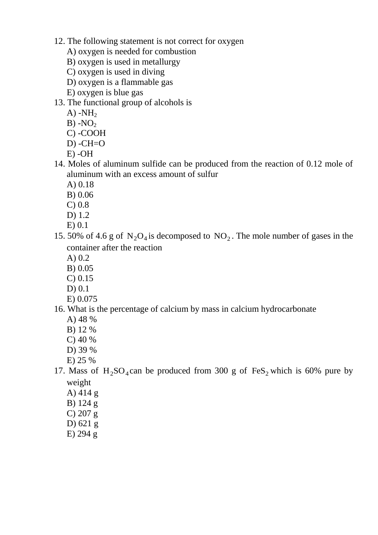- 12. The following statement is not correct for oxygen
	- A) oxygen is needed for combustion
	- B) oxygen is used in metallurgy
	- C) oxygen is used in diving
	- D) oxygen is a flammable gas
	- E) oxygen is blue gas
- 13. The functional group of alcohols is
	- $A)$  -NH<sub>2</sub>
	- $B) NO<sub>2</sub>$
	- C) -COOH
	- $D)$  -CH=O
	- E) -OH
- 14. Moles of aluminum sulfide can be produced from the reaction of 0.12 mole of aluminum with an excess amount of sulfur
	- A) 0.18
	- B) 0.06
	- C) 0.8
	- D) 1.2
	- E) 0.1
- 15. 50% of 4.6 g of  $N_2O_4$  is decomposed to  $NO_2$ . The mole number of gases in the container after the reaction
	- A) 0.2
	- B) 0.05
	- C) 0.15
	- D) 0.1
	- E) 0.075

# 16. What is the percentage of calcium by mass in calcium hydrocarbonate

- A) 48 %
- B) 12 %
- C) 40 %
- D) 39 %
- E) 25 %
- 17. Mass of  $H_2SO_4$ can be produced from 300 g of FeS<sub>2</sub> which is 60% pure by weight
	- A) 414 g
	- B) 124 g
	- C) 207 g
	- D) 621 g
	- E) 294 g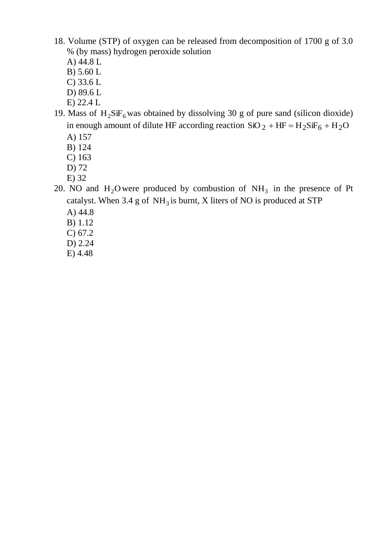- 18. Volume (STP) of oxygen can be released from decomposition of 1700 g of 3.0 % (by mass) hydrogen peroxide solution
	- A) 44.8 L
	- B) 5.60 L
	- C) 33.6 L
	- D) 89.6 L
	- E) 22.4 L
- 19. Mass of  $H_2SiF_6$  was obtained by dissolving 30 g of pure sand (silicon dioxide) in enough amount of dilute HF according reaction  $SiO_2 + HF = H_2SiF_6 + H_2O$ 
	- A) 157
	- B) 124
	- C) 163
	- D) 72
	- E) 32
- 20. NO and  $H_2O$  were produced by combustion of  $NH_3$  in the presence of Pt catalyst. When 3.4 g of  $NH<sub>3</sub>$  is burnt, X liters of NO is produced at STP
	- A) 44.8
	- B) 1.12
	- C) 67.2
	- D) 2.24
	- E) 4.48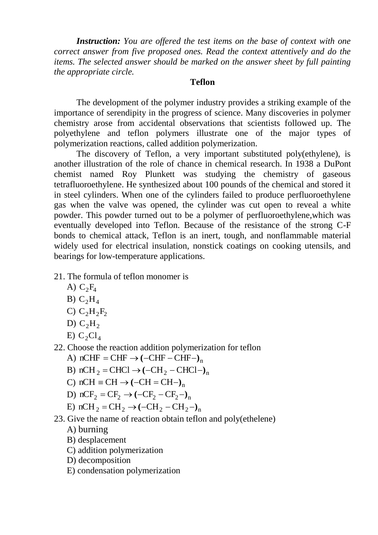*Instruction: You are offered the test items on the base of context with one correct answer from five proposed ones. Read the context attentively and do the items. The selected answer should be marked on the answer sheet by full painting the appropriate circle.*

#### **Teflon**

The development of the polymer industry provides a striking example of the importance of serendipity in the progress of science. Many discoveries in polymer chemistry arose from accidental observations that scientists followed up. The polyethylene and teflon polymers illustrate one of the major types of polymerization reactions, called addition polymerization.

The discovery of Teflon, a very important substituted poly(ethylene), is another illustration of the role of chance in chemical research. In 1938 a DuPont chemist named Roy Plunkett was studying the chemistry of gaseous tetrafluoroethylene. He synthesized about 100 pounds of the chemical and stored it in steel cylinders. When one of the cylinders failed to produce perfluoroethylene gas when the valve was opened, the cylinder was cut open to reveal a white powder. This powder turned out to be a polymer of perfluoroethylene,which was eventually developed into Teflon. Because of the resistance of the strong C-F bonds to chemical attack, Teflon is an inert, tough, and nonflammable material widely used for electrical insulation, nonstick coatings on cooking utensils, and bearings for low-temperature applications.

- 21. The formula of teflon monomer is
	- A)  $C_2F_4$
	- B)  $C_2H_4$
	- C)  $C_2H_2F_2$
	- D)  $C_2H_2$
	- $E)$  C<sub>2</sub>Cl<sub>4</sub>
- 22. Choose the reaction addition polymerization for teflon
	- A)  $nCHF = CHF \rightarrow (-CHF CHF-)$
	- B)  $nCH_2 = CHCl \rightarrow (-CH_2 CHCl )_n$
	- C)  $nCH \equiv CH \rightarrow (-CH = CH-)$ <sub>n</sub>
	- D)  $nCF_2 = CF_2 \rightarrow (-CF_2 CF_2 -)$ <sup>n</sup>
	- E)  $nCH_2 = CH_2 \rightarrow (-CH_2 CH_2 -)$ <sup>n</sup>
- 23. Give the name of reaction obtain teflon and poly(ethelene)
	- A) burning
	- B) desplacement
	- C) addition polymerization
	- D) decomposition
	- E) condensation polymerization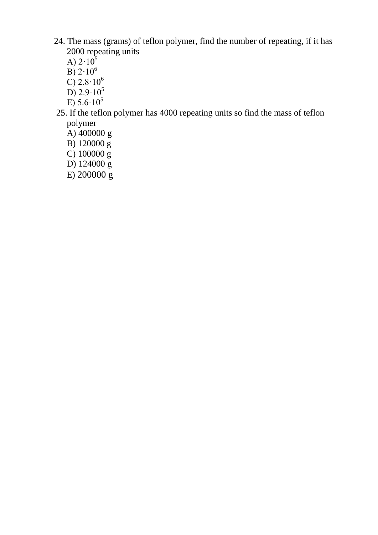- 24. The mass (grams) of teflon polymer, find the number of repeating, if it has 2000 repeating units
	- A)  $2.10^5$
	- $\overline{B}$ ) 2·10<sup>6</sup>
	- $\overline{C}$ ) 2.8 $\cdot$ 10<sup>6</sup>
	- D)  $2.9 \cdot 10^5$
	- E)  $5.6 \cdot 10^5$
- 25. If the teflon polymer has 4000 repeating units so find the mass of teflon polymer
	- A)  $400000$  g
	- B) 120000 g
	- C)  $100000 \frac{g}{g}$
	- D) 124000 g
	- $E$ ) 200000 $g$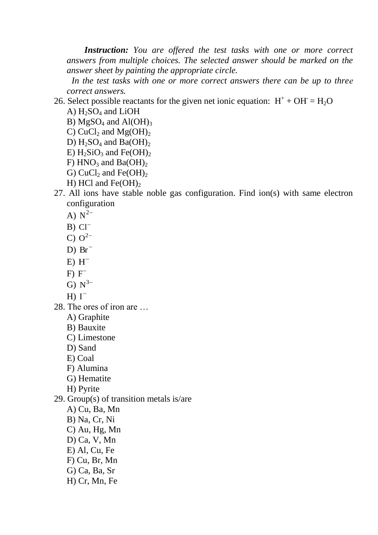*Instruction: You are offered the test tasks with one or more correct answers from multiple choices. The selected answer should be marked on the answer sheet by painting the appropriate circle.*

 *In the test tasks with one or more correct answers there can be up to threе correct answers.*

26. Select possible reactants for the given net ionic equation:  $H^+ + OH^- = H_2O$ 

A)  $H_2SO_4$  and LiOH

- B) MgSO<sub>4</sub> and Al(OH)<sub>3</sub>
- C) CuCl<sub>2</sub> and Mg(OH)<sub>2</sub>
- D)  $H_2SO_4$  and  $Ba(OH)_2$
- E)  $H_2SiO_3$  and Fe(OH)<sub>2</sub>
- F)  $HNO<sub>3</sub>$  and Ba(OH)<sub>2</sub>
- G) CuCl<sub>2</sub> and Fe(OH)<sub>2</sub> H) HCl and Fe(OH) $_2$
- 27. All ions have stable noble gas configuration. Find ion(s) with same electron configuration
	- A)  $N^{2-}$
	- $B) Cl^{-}$
	- C)  $Q^{2-}$
	- $D)$  Br<sup>-</sup>
	- $E)$  H<sup>-1</sup>
	- $F) F^{-}$
	- G)  $N^{3-}$
	- H)  $I^-$
- 28. The ores of iron are …
	- A) Graphite
	- B) Bauxite
	- C) Limestone
	- D) Sand
	- E) Coal
	- F) Alumina
	- G) Hematite
	- H) Pyrite
- 29. Group(s) of transition metals is/are
	- A) Cu, Ba, Mn
	- B) Na, Cr, Ni
	- C) Au, Hg, Mn
	- D) Ca, V, Mn
	- E) Al, Cu, Fe
	- F) Cu, Br, Mn
	- G) Ca, Ba, Sr
	- H) Cr, Mn, Fe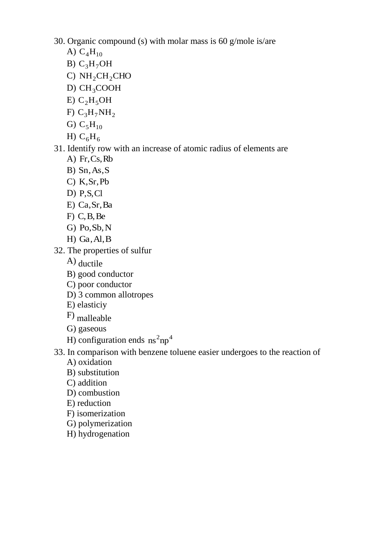30. Organic compound (s) with molar mass is 60 g/mole is/are

- A)  $C_4H_{10}$
- B)  $C_3H_7OH$
- C)  $NH<sub>2</sub>CH<sub>2</sub>CHO$
- D) CH<sub>3</sub>COOH
- E)  $C_2H_5OH$
- F)  $C_3H_7NH_2$
- G)  $C_5H_{10}$
- H)  $C_6H_6$

# 31. Identify row with an increase of atomic radius of elements are

- A) Fr,Cs,Rb
- B) Sn,As,S
- C) K,Sr,Pb
- D) P,S,Cl
- E) Ca,Sr,Ba
- $F)$  C, B, Be
- G) Po,Sb,N
- H) Ga,Al,B
- 32. The properties of sulfur
	- A) ductile
	- B) good conductor
	- C) poor conductor
	- D) 3 common allotropes
	- E) elasticiy
	- F) malleable
	- G) gaseous
	- H) configuration ends  $\text{ns}^2 \text{np}^4$

# 33. In comparison with benzene toluene easier undergoes to the reaction of

- A) oxidation
- B) substitution
- C) addition
- D) combustion
- E) reduction
- F) isomerization
- G) polymerization
- H) hydrogenation